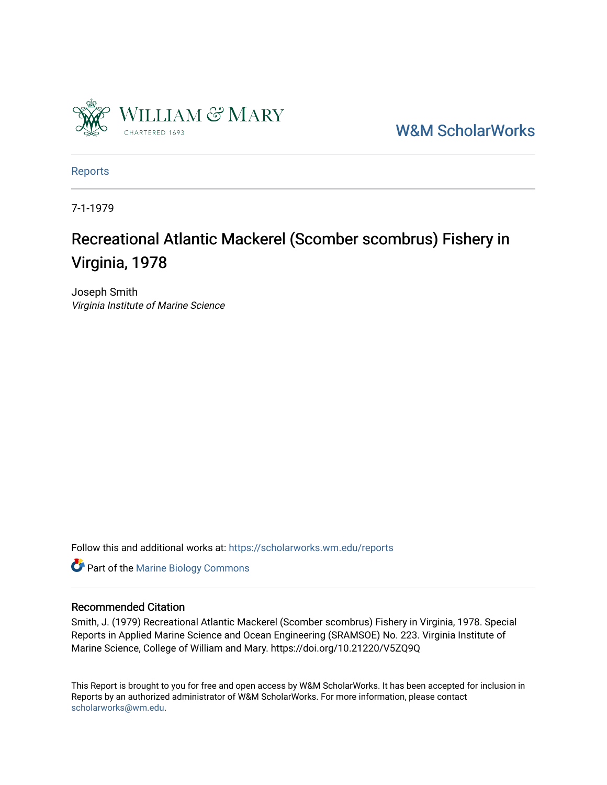

[W&M ScholarWorks](https://scholarworks.wm.edu/) 

[Reports](https://scholarworks.wm.edu/reports)

7-1-1979

# Recreational Atlantic Mackerel (Scomber scombrus) Fishery in Virginia, 1978

Joseph Smith Virginia Institute of Marine Science

Follow this and additional works at: [https://scholarworks.wm.edu/reports](https://scholarworks.wm.edu/reports?utm_source=scholarworks.wm.edu%2Freports%2F986&utm_medium=PDF&utm_campaign=PDFCoverPages)

**Part of the Marine Biology Commons** 

### Recommended Citation

Smith, J. (1979) Recreational Atlantic Mackerel (Scomber scombrus) Fishery in Virginia, 1978. Special Reports in Applied Marine Science and Ocean Engineering (SRAMSOE) No. 223. Virginia Institute of Marine Science, College of William and Mary. https://doi.org/10.21220/V5ZQ9Q

This Report is brought to you for free and open access by W&M ScholarWorks. It has been accepted for inclusion in Reports by an authorized administrator of W&M ScholarWorks. For more information, please contact [scholarworks@wm.edu.](mailto:scholarworks@wm.edu)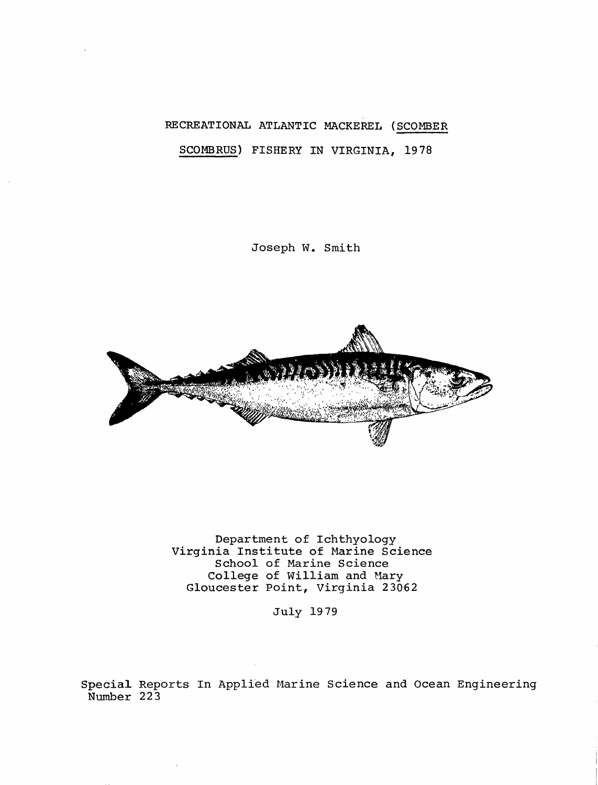## RECREATIONAL ATLANTIC MACKEREL (SCOMBER SCOMBRUS) FISHERY IN VIRGINIA, 1978

Joseph w. Smith



Department of Ichthyology Virginia Institute of Marine Science School of Marine Science College of William and Mary Gloucester Point, Virginia 23062

July 1979

Specia1 Reports In Applied Marine Science and Ocean Engineering Number 223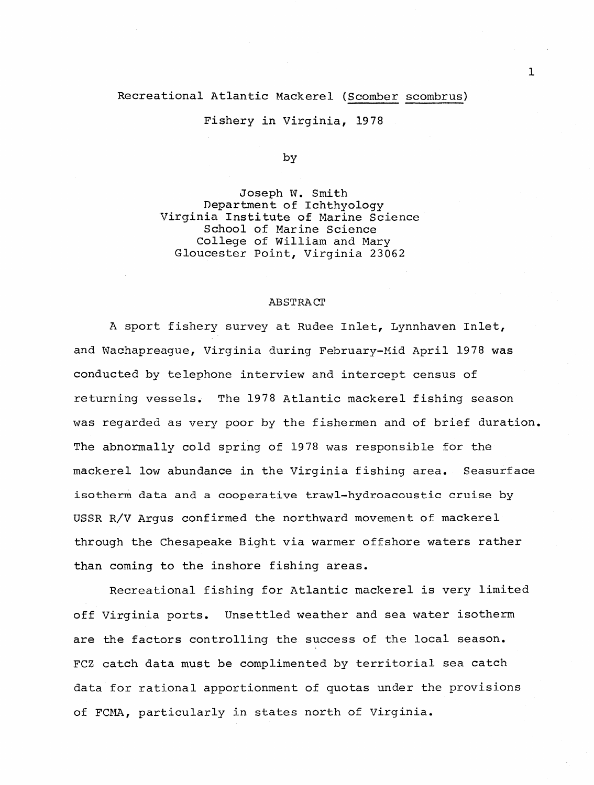#### Recreational Atlantic Mackerel (Scomber scombrus)

Fishery in Virginia, 1978

by

Joseph w. Smith Department of Ichthyology Virginia Institute of Marine Science School of Marine Science College of William and Mary Gloucester Point, Virginia 23062

#### ABSTRACT

A sport fishery survey at Rudee Inlet, Lynnhaven Inlet, and Wachapreague, Virginia during February-Mid April 1978 was conducted by telephone interview and intercept census of returning vessels. The 1978 Atlantic mackerel fishing season was regarded as very poor by the fishermen and of brief duration. The abnormally cold spring of 1978 was responsible for the mackerel low abundance in the Virginia fishing area. Seasurface isotherm data and a cooperative trawl-hydroacoustic cruise by USSR R/V Argus confirmed the northward movement of mackerel through the Chesapeake Bight via warmer offshore waters rather than coming to the inshore fishing areas.

Recreational fishing for Atlantic mackerel is very limited off Virginia ports. Unsettled weather and sea water isotherm are the factors controlling the success of the local season. FCZ catch data must be complimented by territorial sea catch data for rational apportionment of quotas under the provisions of FCMA, particularly in states north of Virginia.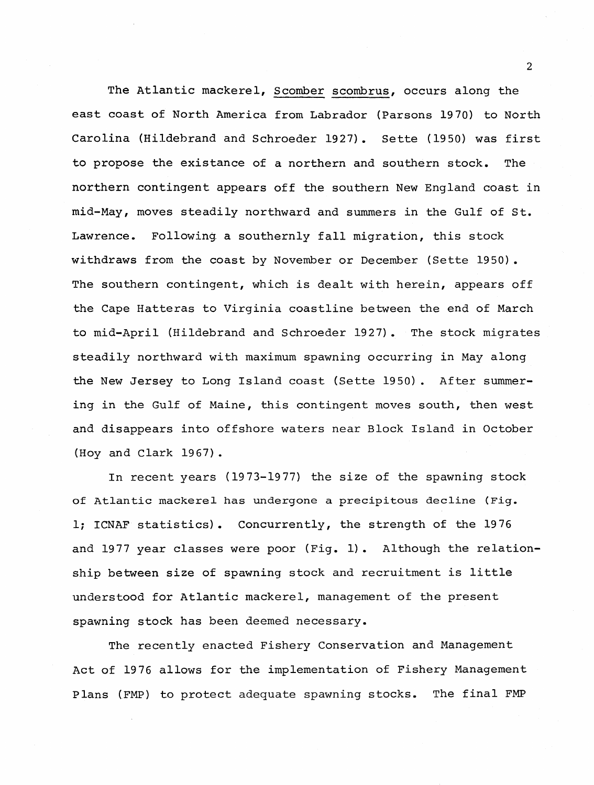The Atlantic mackerel, Scomber scombrus, occurs along the east coast of North America from Labrador (Parsons 1970) to North Carolina (Hildebrand and Schroeder 1927). Sette (1950) was first to propose the existance of a northern and southern stock. The northern contingent appears off the southern New England coast in mid-May, moves steadily northward and summers in the Gulf of St. Lawrence. Following a southernly fall migration, this stock withdraws from the coast by November or December (Sette 1950). The southern contingent, which is dealt with herein, appears off the Cape Hatteras to Virginia coastline between the end of March to mid-April (Hildebrand and Schroeder 1927). The stock migrates steadily northward with maximum spawning occurring in May along the New Jersey to Long Island coast (Sette 1950). After summering in the Gulf of Maine, this contingent moves south, then west and disappears into offshore waters near Block Island in October (Hoy and Clark 1967).

In recent years (1973-1977) the size of the spawning stock of Atlantic mackerel has undergone a precipitous decline (Fig. l; ICNAF statistics). Concurrently, the strength of the 1976 and 1977 year classes were poor (Fig. 1). Although the relationship between size of spawning stock and recruitment is little understood for Atlantic mackerel, management of the present spawning stock has been deemed necessary.

The recently enacted Fishery Conservation and Management Act of 1976 allows for the implementation of Fishery Management Plans (FMP) to protect adequate spawning stocks. The final FMP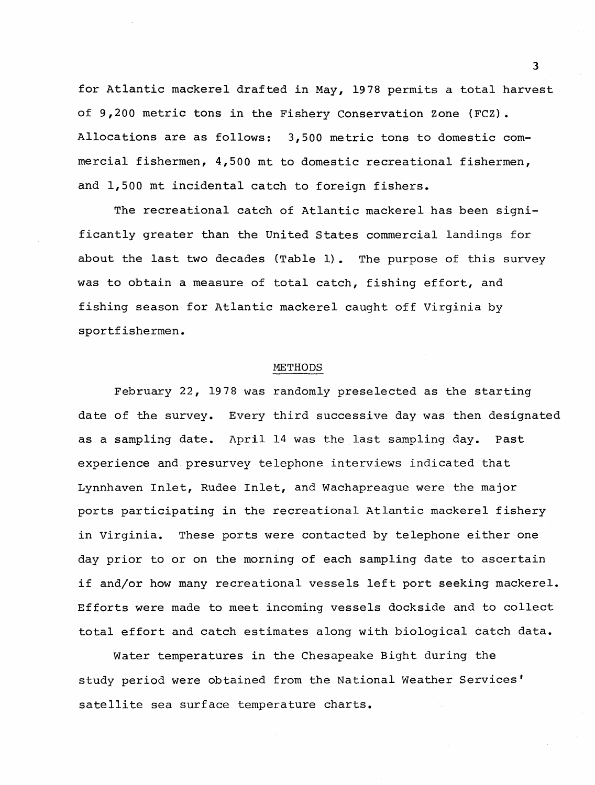for Atlantic mackerel drafted in May, 1978 permits a total harvest of 9,200 metric tons in the Fishery conservation Zone (FCZ). Allocations are as follows: 3,500 metric tons to domestic commercial fishermen, 4,500 mt to domestic recreational fishermen, and 1,500 mt incidental catch to foreign fishers.

The recreational catch of Atlantic mackerel has been significantly greater than the United States commercial landings for about the last two decades (Table 1). The purpose of this survey was to obtain a measure of total catch, fishing effort, and fishing season for Atlantic mackerel caught off Virginia by sportfishermen.

#### METHODS

February 22, 1978 was randomly preselected as the starting date of the survey. Every third successive day was then designated as a sampling date. April 14 was the last sampling day. Past experience and presurvey telephone interviews indicated that Lynnhaven Inlet, Rudee Inlet, and Wachapreague were the major ports participating in the recreational Atlantic mackerel fishery in Virginia. These ports were contacted by telephone either one day prior to or on the morning of each sampling date to ascertain if and/or how many recreational vessels left port seeking mackerel. Efforts were made to meet incoming vessels dockside and to collect total effort and catch estimates along with biological catch data.

Water temperatures in the Chesapeake Bight during the study period were obtained from the National Weather Services' satellite sea surface temperature charts.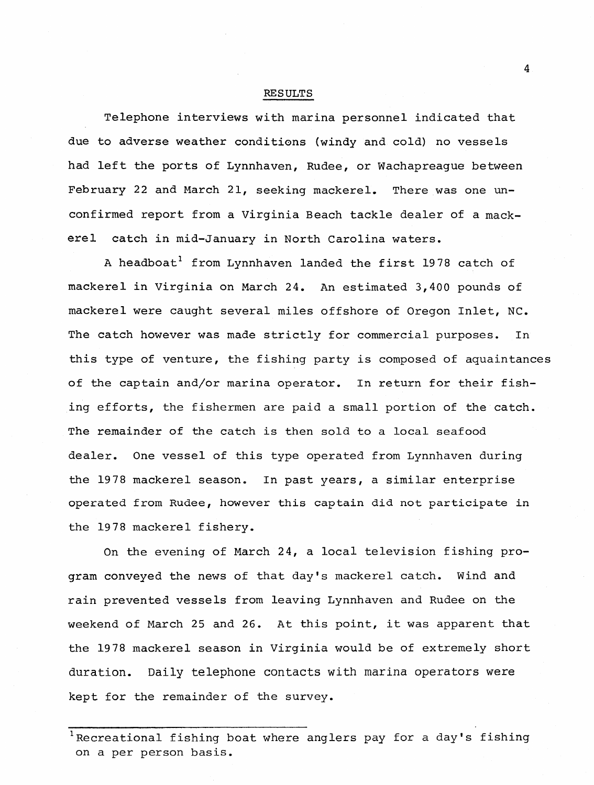#### RESULTS

Telephone interviews with marina personnel indicated that due to adverse weather conditions (windy and cold) no vessels had left the ports of Lynnhaven, Rudee, or Wachapreague between February 22 and March 21, seeking mackerel. There was one unconfirmed report from a Virginia Beach tackle dealer of a mackerel catch in mid-January in North Carolina waters.

A headboat<sup>1</sup> from Lynnhaven landed the first 1978 catch of mackerel in Virginia on March 24. An estimated 3,400 pounds of mackerel were caught several miles offshore of Oregon Inlet, NC. The catch however was made strictly for commercial purposes. In this type of venture, the fishing party is composed of aquaintances of the captain and/or marina operator. In return for their fishing efforts, the fishermen are paid a small portion of the catch. The remainder of the catch is then sold to a local seafood dealer. One vessel of this type operated from Lynnhaven during the 1978 mackerel season. In past years, a similar enterprise operated from Rudee, however this captain did not participate in the 1978 mackerel fishery.

On the evening of March 24, a local television fishing program conveyed the news of that day's mackerel catch. Wind and rain prevented vessels from leaving Lynnhaven and Rudee on the weekend of March 25 and 26. At this point, it was apparent that the 1978 mackerel season in Virginia would be of extremely short duration. Daily telephone contacts with marina operators were kept for the remainder of the survey.

<sup>&</sup>lt;sup>1</sup>Recreational fishing boat where anglers pay for a day's fishing on a per person basis.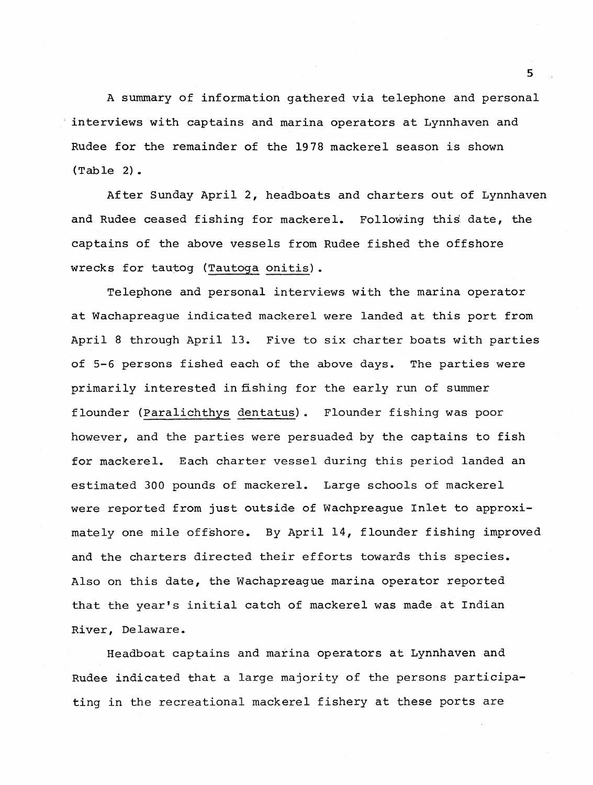A summary of information gathered via telephone and personal interviews with captains and marina operators at Lynnhaven and Rudee for the remainder of the 1978 mackerel season is shown (Table 2).

After Sunday April 2, headboats and charters out of Lynnhaven and Rudee ceased fishing for mackerel. Following this. date, the captains of the above vessels from Rudee fished the offshore wrecks for tautog (Tautoga onitis).

Telephone and personal interviews with the marina operator at Wachapreague indicated mackerel were landed at this port from April 8 through April 13. Five to six charter boats with parties of 5-6 persons fished each of the above days. The parties were primarily interested in fishing for the early run of summer flounder (Paralichthys dentatus). Flounder fishing was poor however, and the parties were persuaded by the captains to fish for mackerel. Each charter vessel during this period landed an estimated 300 pounds of mackerel. Large schools of mackerel were reported from just outside of Wachpreague Inlet to approximately one mile offshore. By April 14, flounder fishing improved and the charters directed their efforts towards this species. Also on this date, the Wachapreague marina operator reported that the year's initial catch of mackerel was made at Indian River, Delaware.

Headboat captains and marina operators at Lynnhaven and Rudee indicated that a large majority of the persons participating in the recreational mackerel fishery at these ports are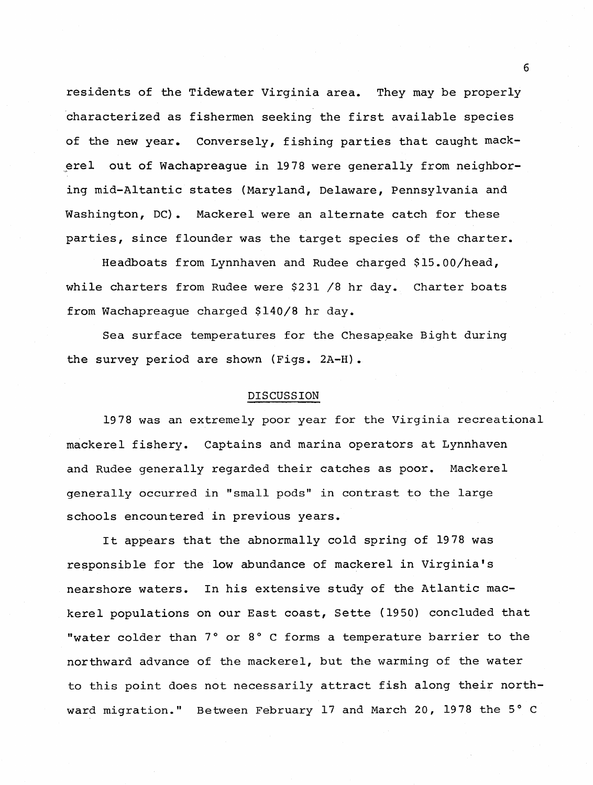residents of the Tidewater Virginia area. They may be properly ·characterized as fishermen seeking the first available species of the new year. Conversely, fishing parties that caught mackerel out of Wachapreague in 1978 were generally from neighboring mid-Altantic states (Maryland, Delaware, Pennsylvania and Washington, DC). Mackerel were an alternate catch for these parties, since flounder was the target species of the charter.

Headboats from Lynnhaven and Rudee charged \$15.00/head, while charters from Rudee were \$231 /8 hr day. Charter boats from Wachapreague charged \$140/8 hr day.

Sea surface temperatures for the Chesapeake Bight during the survey period are shown (Figs. 2A-H).

#### DISCUSSION

1978 was an extremely poor year for the Virginia recreational mackerel fishery. Captains and marina operators at Lynnhaven and Rudee generally regarded their catches as poor. Mackerel generally occurred in "small pods" in contrast to the large schools encountered in previous years.

It appears that the abnormally cold spring of 1978 was responsible for the low abundance of mackerel in Virginia's nearshore waters. In his extensive study of the Atlantic mackerel populations on our East coast, Sette (1950) concluded that "water colder than 7° or 8° C forms a temperature barrier to the northward advance of the mackerel, but the warming of the water to this point does not necessarily attract fish along their northward migration." Between February 17 and March 20, 1978 the 5° C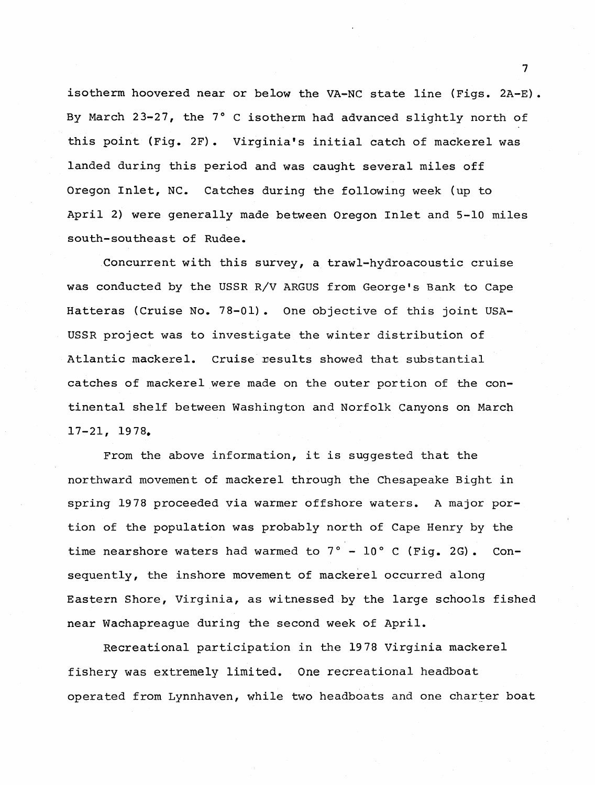isotherm hoovered near or below the VA-NC state line (Figs. 2A-E). By March 23-27, the 7° C isotherm had advanced slightly north of this point (Fig. 2F). Virginia's initial catch of mackerel was landed during this period and was caught several miles off Oregon Inlet, NC. Catches during the following week (up to April 2) were generally made between Oregon Inlet and 5-10 miles south-southeast of Rudee.

Concurrent with this survey, a trawl-hydroacoustic cruise was conducted by the USSR R/V ARGUS from George's Bank to Cape Hatteras (Cruise No. 78-01). One objective of this joint USA-USSR project was to investigate the winter distribution of Atlantic mackerel. Cruise results showed that substantial catches of mackerel were made on the outer portion of the continental shelf between Washington and Norfolk canyons on March 17-21, 19 78.

From the above information, it is suggested that the northward movement of mackerel through the Chesapeake Bight in spring 1978 proceeded via warmer offshore waters. A major portion of the population was probably north of Cape Henry by the time nearshore waters had warmed to  $7^\circ$  - 10° C (Fig. 2G). Consequently, the inshore movement of mackerel occurred along Eastern Shore, Virginia, as witnessed by the large schools fished near Wachapreague during the second week of April.

Recreational participation in the 1978 Virginia mackerel fishery was extremely limited. One recreational headboat operated from Lynnhaven, while two headboats and one charter boat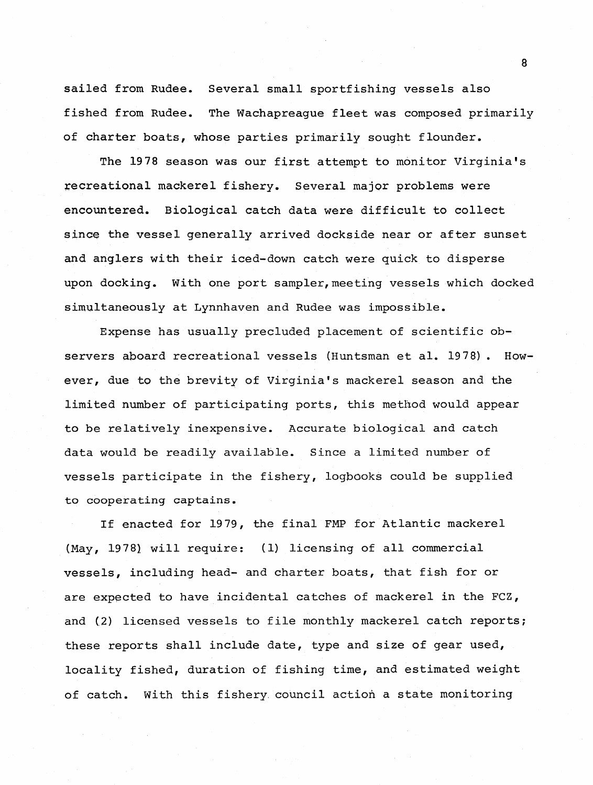sailed from Rudee. Several small sportfishing vessels also fished from Rudee. The Wachapreague fleet was composed primarily of charter boats, whose parties primarily sought flounder.

The 1978 season was our first attempt to monitor Virginia's tecreational mackerel fishery. Several major problems were encountered. Biological catch data were difficult to collect since the vessel generally arrived dockside near or after sunset and anglers with their iced-down catch were quick to disperse upon docking. With one port sampler, meeting vessels which docked simultaneously at Lynnhaven and Rudee was impossible.

Expense has usually precludeq placement of scientific observers aboard recreational vessels (Huntsman et al. 1978). However, due to the brevity of Virginia's mackerel season and the limited number of participating ports, this method would appear to be relatively inexpensive. Accurate biological and catch data would be readily available. Since a limited number of vessels participate in the fishery, logbooks could be supplied to cooperating captains.

If enacted for 1979, the final FMP for Atlantic mackerel (May, 1978) will require: (1) licensing of all commercial vessels, including head- and charter boats, that fish for or are expected to have incidental catches of mackerel in the FCZ, and (2) licensed vessels to file monthly mackerel catch reports; these reports shall include date, type and size of gear used, locality fished, duration of fishing time, and estimated weight of catch. With this fishery. council action a state monitoring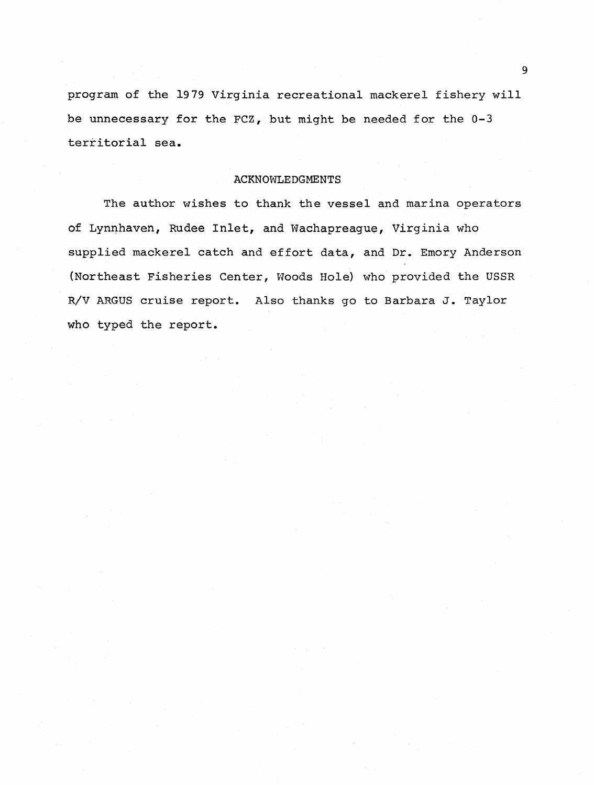program of the 1979 Virginia recreational mackerel fishery will be unnecessary for the FCZ, but might be needed for the 0-3 territorial sea.

#### ACKNOWLEDGMENTS

The author wishes to thank the vessel and marina operators of Lynnhaven, Rudee Inlet, and Wachapreague, Virginia who supplied mackerel catch and effort data, and Dr. Emory Anderson (Northeast Fisheries Center, Woods Hole} who provided the USSR R/V ARGUS cruise report. Also thanks go to Barbara J. Taylor who typed the report.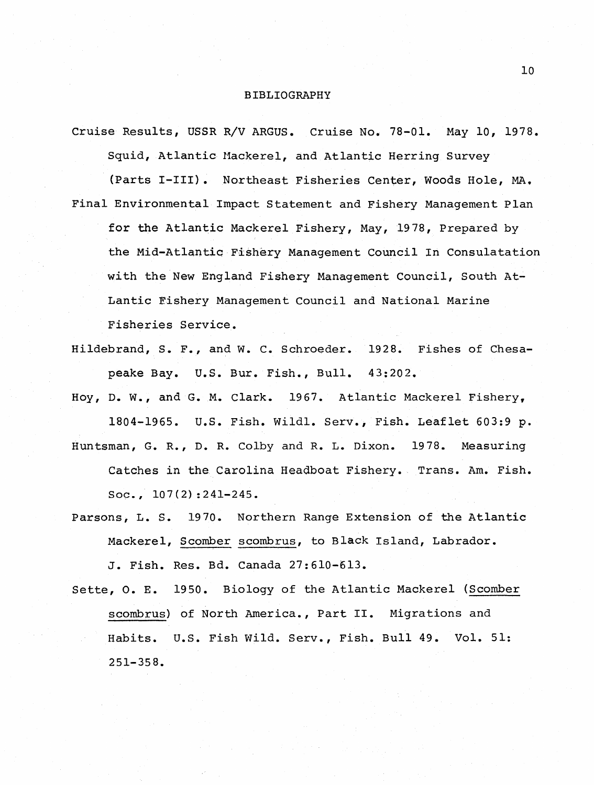#### BIBLIOGRAPHY

- Cruise Results, USSR R/V ARGUS. Cruise No. 78-01. May 10, 1978. Squid, Atlantic Mackerel, and Atlantic Herring Survey (Parts I-III}. Northeast Fisheries Center, woods Hole, MA. Final Environmental Impact Statement and Fishery Management Plan for the Atlantic Mackerel Fishery, May, 1978, Prepared by the Mid-Atlantic Fishery Management Council In Consulatation with the New England Fishery Management Council, South At-Lantic Fishery Management Council and National Marine Fisheries Service.
- Hildebrand, s. F., and w. c. Schroeder. 1928. Fishes of Chesapeake Bay. U.S. Bur. Fish., Bull. 43:202.

Hoy, D. w., and G. M. Clark. 1967. Atlantic Mackerel Fishery, 1804-1965. U.S. Fish. Wildl. Serv., Fish. Leaflet 603:9 p. Huntsman, G. R., D.R. Colby and R. L. Dixon. 1978. Measuring

Catches in the Carolina Headboat Fishery. Trans. Am. Fish.  $Soc.$ ,  $107(2):241-245.$ 

- Parsons, L. s. 1970. Northern Range Extension of the Atlantic Mackerel, Scomber scombrus, to Black Island, Labrador. J. Fish. Res. Bd. Canada 27:610-613.
- Sette, o. E. 1950. Biology of the Atlantic Mackerel (Scomber scombrus} of North America., Part II. Migrations and Habits. U.S. Fish Wild. Serv., Fish. Bull 49. Vol. 51: 251-358.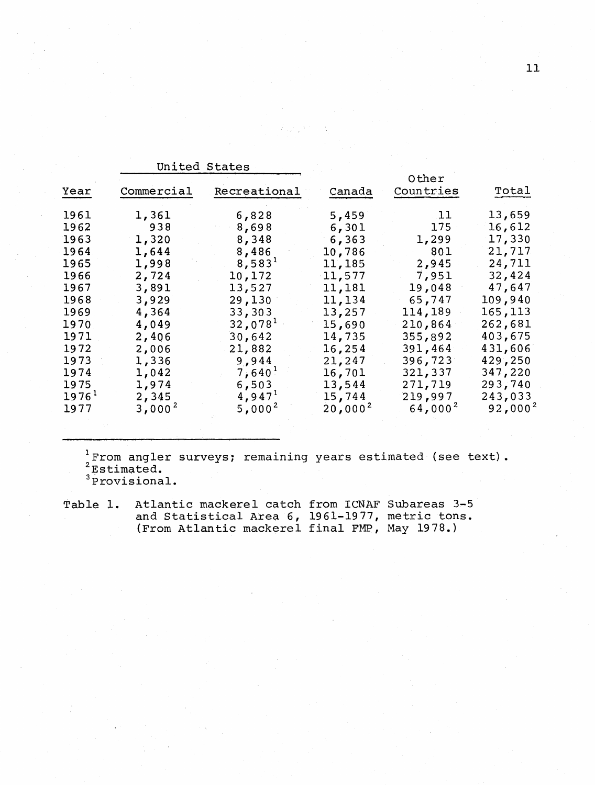|                   | United States |                     |              |               |              |
|-------------------|---------------|---------------------|--------------|---------------|--------------|
|                   |               |                     |              | Other         |              |
| Year              | Commercial    | Recreational        | Canada       | Countries     | Total        |
| 1961              | 1,361         | 6,828               | 5,459        | $\mathbf{11}$ | 13,659       |
| 1962              | 938           | 8,698               | 6,301        | 175           | 16,612       |
| 1963              | 1,320         | 8,348               | 6,363        | 1,299         | 17,330       |
| 1964              | 1,644         | 8,486               | 10,786       | 801           | 21,717       |
| 1965              | 1,998         | 8,583 <sup>1</sup>  | 11,185       | 2,945         | 24,711       |
| 1966              | 2,724         | 10,172              | 11,577       | 7,951         | 32,424       |
| 1967              | 3,891         | 13,527              | 11,181       | 19,048        | 47,647       |
| 1968              | 3,929         | 29,130              | 11,134       | 65,747        | 109,940      |
| 1969              | 4,364         | 33,303              | 13,257       | 114,189       | 165,113      |
| 1970              | 4,049         | 32,078 <sup>1</sup> | 15,690       | 210,864       | 262,681      |
| 1971              | 2,406         | 30,642              | 14,735       | 355,892       | 403,675      |
| 1972              | 2,006         | 21,882              | 16,254       | 391,464       | 431,606      |
| 1973              | 1,336         | 9,944               | 21,247       | 396,723       | 429,250      |
| 1974              | 1,042         | 7,640 <sup>1</sup>  | 16,701       | 321,337       | 347,220      |
| 1975              | 1,974         | 6,503               | 13,544       | 271,719       | 293,740      |
| 1976 <sup>1</sup> | 2,345         | 4,947 <sup>1</sup>  | 15,744       | 219,997       | 243,033      |
| 1977              | $3,000^{2}$   | $5,000^2$           | $20,000^{2}$ | $64,000^{2}$  | $92,000^{2}$ |

 $\frac{1}{s}$ From angler surveys; remaining years estimated (see text).  $2^2$ Estimated. <sup>3</sup> Provisional.

Table 1. Atlantic mackerel catch from ICNAF Subareas 3-5 and Statistical Area 6, 1961-1977, metric tons. (From Atlantic mackerel final FMP, May 1978.)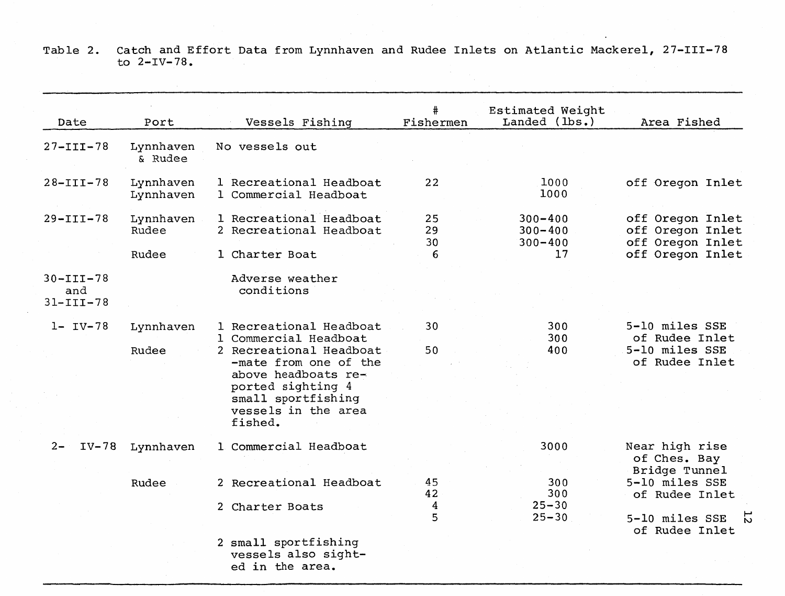Table 2. Catch and Effort Data from Lynnhaven and Rudee Inlets on Atlantic Mackerel, 27-III-78 to 2-IV-78.

 $\mathcal{L}(\mathcal{L}(\mathcal{L}(\mathcal{L}(\mathcal{L}(\mathcal{L}(\mathcal{L}(\mathcal{L}(\mathcal{L}(\mathcal{L}(\mathcal{L}(\mathcal{L}(\mathcal{L}(\mathcal{L}(\mathcal{L}(\mathcal{L}(\mathcal{L}(\mathcal{L}(\mathcal{L}(\mathcal{L}(\mathcal{L}(\mathcal{L}(\mathcal{L}(\mathcal{L}(\mathcal{L}(\mathcal{L}(\mathcal{L}(\mathcal{L}(\mathcal{L}(\mathcal{L}(\mathcal{L}(\mathcal{L}(\mathcal{L}(\mathcal{L}(\mathcal{L}(\mathcal{L}(\mathcal{$ 

| Date                                      | Port                   | Vessels Fishing                                                                                                                                      | #<br>Fishermen | Estimated Weight<br>Landed (lbs.)         | Area Fished                                              |
|-------------------------------------------|------------------------|------------------------------------------------------------------------------------------------------------------------------------------------------|----------------|-------------------------------------------|----------------------------------------------------------|
| $27 - III - 78$                           | Lynnhaven<br>& Rudee   | No vessels out                                                                                                                                       |                |                                           |                                                          |
| $28 - III - 78$                           | Lynnhaven<br>Lynnhaven | 1 Recreational Headboat<br>1 Commercial Headboat                                                                                                     | 22             | 1000<br>1000                              | off Oregon Inlet                                         |
| $29 - III - 78$                           | Lynnhaven<br>Rudee     | 1 Recreational Headboat<br>2 Recreational Headboat                                                                                                   | 25<br>29<br>30 | $300 - 400$<br>$300 - 400$<br>$300 - 400$ | off Oregon Inlet<br>off Oregon Inlet<br>off Oregon Inlet |
|                                           | Rudee                  | 1 Charter Boat                                                                                                                                       | 6              | 17                                        | off Oregon Inlet                                         |
| $30 - III - 78$<br>and<br>$31 - III - 78$ |                        | Adverse weather<br>conditions                                                                                                                        |                |                                           |                                                          |
| $1 - IV - 78$                             | Lynnhaven              | 1 Recreational Headboat<br>1 Commercial Headboat                                                                                                     | 30             | 300<br>300                                | 5-10 miles SSE<br>of Rudee Inlet                         |
|                                           | Rudee                  | 2 Recreational Headboat<br>-mate from one of the<br>above headboats re-<br>ported sighting 4<br>small sportfishing<br>vessels in the area<br>fished. | 50             | 400                                       | 5-10 miles SSE<br>of Rudee Inlet                         |
| $2 -$<br>$IV-78$                          | Lynnhaven              | 1 Commercial Headboat                                                                                                                                |                | 3000                                      | Near high rise<br>of Ches. Bay                           |
|                                           | Rudee                  | 2 Recreational Headboat                                                                                                                              | 45<br>42       | 300<br>300                                | Bridge Tunnel<br>5-10 miles SSE<br>of Rudee Inlet        |
|                                           |                        | 2 Charter Boats                                                                                                                                      | 4<br>5         | $25 - 30$<br>$25 - 30$                    | 5-10 miles SSE<br>Ń<br>of Rudee Inlet                    |
|                                           |                        | 2 small sportfishing<br>vessels also sight-<br>ed in the area.                                                                                       |                |                                           |                                                          |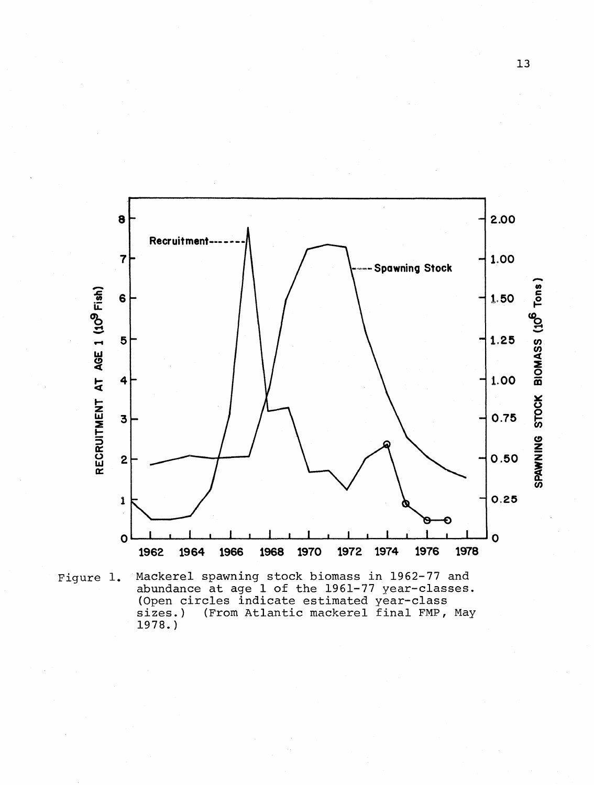

Figure 1. Mackerel spawning stock biomass in 1962-77 and abundance at age 1 of the 1961-77 year-classes. (Open circles indicate estimated year-class sizes.) (From Atlantic mackerel final FMP, May sizes.)<br>1978.)